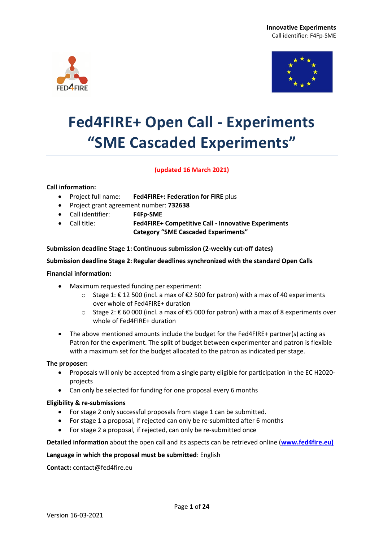**Innovative Experiments** Call identifier: F4Fp-SME





# **Fed4FIRE+ Open Call - Experiments "SME Cascaded Experiments"**

#### **(updated 16 March 2021)**

#### **Call information:**

- Project full name: **Fed4FIRE+: Federation for FIRE** plus
- Project grant agreement number: **732638**
- Call identifier: **F4Fp-SME**
- Call title: **Fed4FIRE+ Competitive Call - Innovative Experiments Category "SME Cascaded Experiments"**

#### **Submission deadline Stage 1: Continuous submission (2-weekly cut-off dates)**

#### **Submission deadline Stage 2: Regular deadlines synchronized with the standard Open Calls**

#### **Financial information:**

- Maximum requested funding per experiment:
	- o Stage 1: € 12 500 (incl. a max of €2 500 for patron) with a max of 40 experiments over whole of Fed4FIRE+ duration
	- o Stage 2: € 60 000 (incl. a max of €5 000 for patron) with a max of 8 experiments over whole of Fed4FIRE+ duration
- The above mentioned amounts include the budget for the Fed4FIRE+ partner(s) acting as Patron for the experiment. The split of budget between experimenter and patron is flexible with a maximum set for the budget allocated to the patron as indicated per stage.

#### **The proposer:**

- Proposals will only be accepted from a single party eligible for participation in the EC H2020 projects
- Can only be selected for funding for one proposal every 6 months

#### **Eligibility & re-submissions**

- For stage 2 only successful proposals from stage 1 can be submitted.
- For stage 1 a proposal, if rejected can only be re-submitted after 6 months
- For stage 2 a proposal, if rejected, can only be re-submitted once

**Detailed information** about the open call and its aspects can be retrieved online (**www.fed4fire.eu)**

#### **Language in which the proposal must be submitted**: English

**Contact:** contact@fed4fire.eu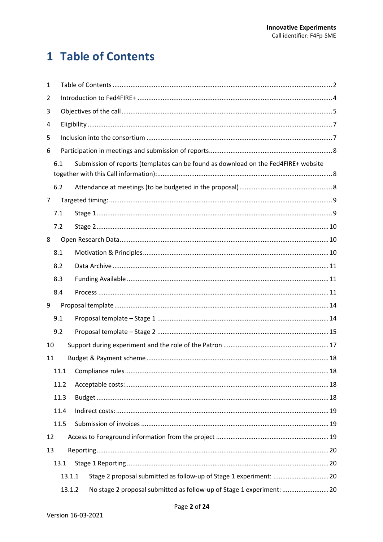# 1 Table of Contents

| $\mathbf{1}$                                                                              |      |        |                                                                       |  |  |  |
|-------------------------------------------------------------------------------------------|------|--------|-----------------------------------------------------------------------|--|--|--|
| 2                                                                                         |      |        |                                                                       |  |  |  |
| 3                                                                                         |      |        |                                                                       |  |  |  |
| 4                                                                                         |      |        |                                                                       |  |  |  |
| 5                                                                                         |      |        |                                                                       |  |  |  |
| 6                                                                                         |      |        |                                                                       |  |  |  |
| Submission of reports (templates can be found as download on the Fed4FIRE+ website<br>6.1 |      |        |                                                                       |  |  |  |
|                                                                                           | 6.2  |        |                                                                       |  |  |  |
| 7                                                                                         |      |        |                                                                       |  |  |  |
|                                                                                           | 7.1  |        |                                                                       |  |  |  |
|                                                                                           | 7.2  |        |                                                                       |  |  |  |
| 8                                                                                         |      |        |                                                                       |  |  |  |
|                                                                                           | 8.1  |        |                                                                       |  |  |  |
|                                                                                           | 8.2  |        |                                                                       |  |  |  |
|                                                                                           | 8.3  |        |                                                                       |  |  |  |
|                                                                                           | 8.4  |        |                                                                       |  |  |  |
| 9                                                                                         |      |        |                                                                       |  |  |  |
|                                                                                           | 9.1  |        |                                                                       |  |  |  |
|                                                                                           | 9.2  |        |                                                                       |  |  |  |
| 10                                                                                        |      |        |                                                                       |  |  |  |
| 11                                                                                        |      |        |                                                                       |  |  |  |
|                                                                                           | 11.1 |        |                                                                       |  |  |  |
|                                                                                           | 11.2 |        |                                                                       |  |  |  |
|                                                                                           | 11.3 |        |                                                                       |  |  |  |
|                                                                                           | 11.4 |        |                                                                       |  |  |  |
|                                                                                           | 11.5 |        |                                                                       |  |  |  |
| 12                                                                                        |      |        |                                                                       |  |  |  |
| 13                                                                                        |      |        |                                                                       |  |  |  |
| 13.1                                                                                      |      |        |                                                                       |  |  |  |
|                                                                                           |      | 13.1.1 | Stage 2 proposal submitted as follow-up of Stage 1 experiment: 20     |  |  |  |
|                                                                                           |      | 13.1.2 | No stage 2 proposal submitted as follow-up of Stage 1 experiment:  20 |  |  |  |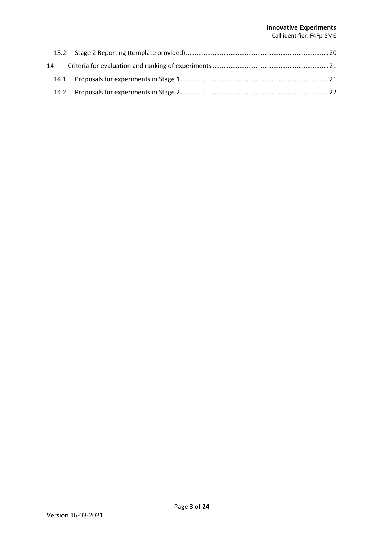### **Innovative Experiments**

Call identifier: F4Fp-SME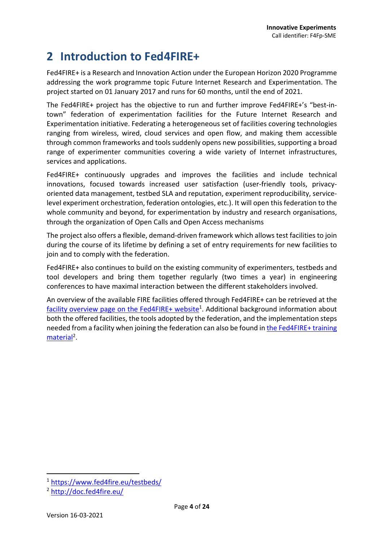# **2 Introduction to Fed4FIRE+**

Fed4FIRE+ is a Research and Innovation Action under the European Horizon 2020 Programme addressing the work programme topic Future Internet Research and Experimentation. The project started on 01 January 2017 and runs for 60 months, until the end of 2021.

The Fed4FIRE+ project has the objective to run and further improve Fed4FIRE+'s "best-intown" federation of experimentation facilities for the Future Internet Research and Experimentation initiative. Federating a heterogeneous set of facilities covering technologies ranging from wireless, wired, cloud services and open flow, and making them accessible through common frameworks and tools suddenly opens new possibilities, supporting a broad range of experimenter communities covering a wide variety of Internet infrastructures, services and applications.

Fed4FIRE+ continuously upgrades and improves the facilities and include technical innovations, focused towards increased user satisfaction (user-friendly tools, privacyoriented data management, testbed SLA and reputation, experiment reproducibility, servicelevel experiment orchestration, federation ontologies, etc.). It will open this federation to the whole community and beyond, for experimentation by industry and research organisations, through the organization of Open Calls and Open Access mechanisms

The project also offers a flexible, demand-driven framework which allows test facilities to join during the course of its lifetime by defining a set of entry requirements for new facilities to join and to comply with the federation.

Fed4FIRE+ also continues to build on the existing community of experimenters, testbeds and tool developers and bring them together regularly (two times a year) in engineering conferences to have maximal interaction between the different stakeholders involved.

An overview of the available FIRE facilities offered through Fed4FIRE+ can be retrieved at the facility overview page on the Fed4FIRE+ website<sup>1</sup>. Additional background information about both the offered facilities, the tools adopted by the federation, and the implementation steps needed from a facility when joining the federation can also be found in the Fed4FIRE+ training material<sup>2</sup>.

<sup>1</sup> https://www.fed4fire.eu/testbeds/

<sup>2</sup> http://doc.fed4fire.eu/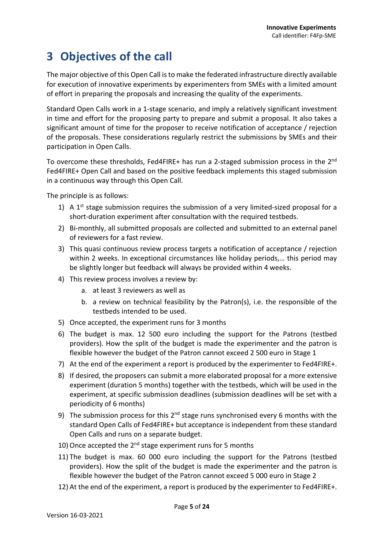# **3 Objectives of the call**

The major objective of this Open Call is to make the federated infrastructure directly available for execution of innovative experiments by experimenters from SMEs with a limited amount of effort in preparing the proposals and increasing the quality of the experiments.

Standard Open Calls work in a 1-stage scenario, and imply a relatively significant investment in time and effort for the proposing party to prepare and submit a proposal. It also takes a significant amount of time for the proposer to receive notification of acceptance / rejection of the proposals. These considerations regularly restrict the submissions by SMEs and their participation in Open Calls.

To overcome these thresholds, Fed4FIRE+ has run a 2-staged submission process in the 2<sup>nd</sup> Fed4FIRE+ Open Call and based on the positive feedback implements this staged submission in a continuous way through this Open Call.

The principle is as follows:

- 1) A  $1<sup>st</sup>$  stage submission requires the submission of a very limited-sized proposal for a short-duration experiment after consultation with the required testbeds.
- 2) Bi-monthly, all submitted proposals are collected and submitted to an external panel of reviewers for a fast review.
- 3) This quasi continuous review process targets a notification of acceptance / rejection within 2 weeks. In exceptional circumstances like holiday periods,… this period may be slightly longer but feedback will always be provided within 4 weeks.
- 4) This review process involves a review by:
	- a. at least 3 reviewers as well as
	- b. a review on technical feasibility by the Patron(s), i.e. the responsible of the testbeds intended to be used.
- 5) Once accepted, the experiment runs for 3 months
- 6) The budget is max. 12 500 euro including the support for the Patrons (testbed providers). How the split of the budget is made the experimenter and the patron is flexible however the budget of the Patron cannot exceed 2 500 euro in Stage 1
- 7) At the end of the experiment a report is produced by the experimenter to Fed4FIRE+.
- 8) If desired, the proposers can submit a more elaborated proposal for a more extensive experiment (duration 5 months) together with the testbeds, which will be used in the experiment, at specific submission deadlines (submission deadlines will be set with a periodicity of 6 months)
- 9) The submission process for this  $2^{nd}$  stage runs synchronised every 6 months with the standard Open Calls of Fed4FIRE+ but acceptance is independent from these standard Open Calls and runs on a separate budget.
- 10) Once accepted the  $2^{nd}$  stage experiment runs for 5 months
- 11) The budget is max. 60 000 euro including the support for the Patrons (testbed providers). How the split of the budget is made the experimenter and the patron is flexible however the budget of the Patron cannot exceed 5 000 euro in Stage 2
- 12) At the end of the experiment, a report is produced by the experimenter to Fed4FIRE+.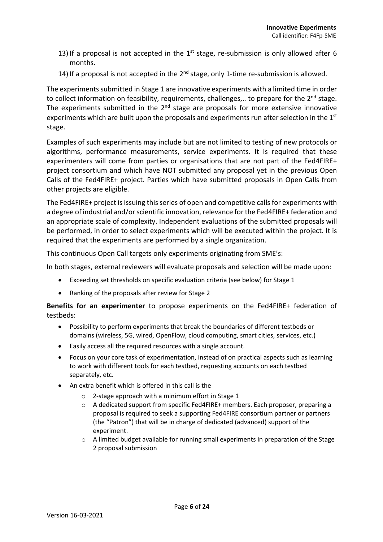- 13) If a proposal is not accepted in the  $1<sup>st</sup>$  stage, re-submission is only allowed after 6 months.
- 14) If a proposal is not accepted in the  $2<sup>nd</sup>$  stage, only 1-time re-submission is allowed.

The experiments submitted in Stage 1 are innovative experiments with a limited time in order to collect information on feasibility, requirements, challenges,.. to prepare for the 2<sup>nd</sup> stage. The experiments submitted in the  $2<sup>nd</sup>$  stage are proposals for more extensive innovative experiments which are built upon the proposals and experiments run after selection in the  $1<sup>st</sup>$ stage.

Examples of such experiments may include but are not limited to testing of new protocols or algorithms, performance measurements, service experiments. It is required that these experimenters will come from parties or organisations that are not part of the Fed4FIRE+ project consortium and which have NOT submitted any proposal yet in the previous Open Calls of the Fed4FIRE+ project. Parties which have submitted proposals in Open Calls from other projects are eligible.

The Fed4FIRE+ project is issuing this series of open and competitive calls for experiments with a degree of industrial and/or scientific innovation, relevance for the Fed4FIRE+ federation and an appropriate scale of complexity. Independent evaluations of the submitted proposals will be performed, in order to select experiments which will be executed within the project. It is required that the experiments are performed by a single organization.

This continuous Open Call targets only experiments originating from SME's:

In both stages, external reviewers will evaluate proposals and selection will be made upon:

- Exceeding set thresholds on specific evaluation criteria (see below) for Stage 1
- Ranking of the proposals after review for Stage 2

**Benefits for an experimenter** to propose experiments on the Fed4FIRE+ federation of testbeds:

- Possibility to perform experiments that break the boundaries of different testbeds or domains (wireless, 5G, wired, OpenFlow, cloud computing, smart cities, services, etc.)
- Easily access all the required resources with a single account.
- Focus on your core task of experimentation, instead of on practical aspects such as learning to work with different tools for each testbed, requesting accounts on each testbed separately, etc.
- An extra benefit which is offered in this call is the
	- o 2-stage approach with a minimum effort in Stage 1
	- $\circ$  A dedicated support from specific Fed4FIRE+ members. Each proposer, preparing a proposal is required to seek a supporting Fed4FIRE consortium partner or partners (the "Patron") that will be in charge of dedicated (advanced) support of the experiment.
	- $\circ$  A limited budget available for running small experiments in preparation of the Stage 2 proposal submission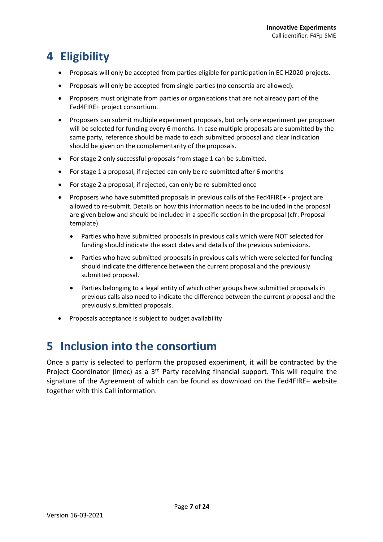# **4 Eligibility**

- Proposals will only be accepted from parties eligible for participation in EC H2020-projects.
- Proposals will only be accepted from single parties (no consortia are allowed).
- Proposers must originate from parties or organisations that are not already part of the Fed4FIRE+ project consortium.
- Proposers can submit multiple experiment proposals, but only one experiment per proposer will be selected for funding every 6 months. In case multiple proposals are submitted by the same party, reference should be made to each submitted proposal and clear indication should be given on the complementarity of the proposals.
- For stage 2 only successful proposals from stage 1 can be submitted.
- For stage 1 a proposal, if rejected can only be re-submitted after 6 months
- For stage 2 a proposal, if rejected, can only be re-submitted once
- Proposers who have submitted proposals in previous calls of the Fed4FIRE+ project are allowed to re-submit. Details on how this information needs to be included in the proposal are given below and should be included in a specific section in the proposal (cfr. Proposal template)
	- Parties who have submitted proposals in previous calls which were NOT selected for funding should indicate the exact dates and details of the previous submissions.
	- Parties who have submitted proposals in previous calls which were selected for funding should indicate the difference between the current proposal and the previously submitted proposal.
	- Parties belonging to a legal entity of which other groups have submitted proposals in previous calls also need to indicate the difference between the current proposal and the previously submitted proposals.
- Proposals acceptance is subject to budget availability

### **5 Inclusion into the consortium**

Once a party is selected to perform the proposed experiment, it will be contracted by the Project Coordinator (imec) as a  $3<sup>rd</sup>$  Party receiving financial support. This will require the signature of the Agreement of which can be found as download on the Fed4FIRE+ website together with this Call information.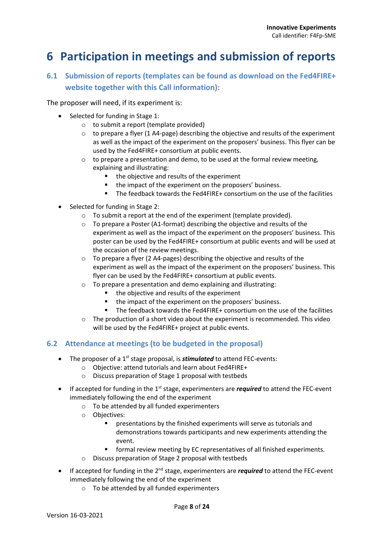# **6 Participation in meetings and submission of reports**

**6.1 Submission of reports (templates can be found as download on the Fed4FIRE+ website together with this Call information):**

The proposer will need, if its experiment is:

- Selected for funding in Stage 1:
	- o to submit a report (template provided)
	- $\circ$  to prepare a flyer (1 A4-page) describing the objective and results of the experiment as well as the impact of the experiment on the proposers' business. This flyer can be used by the Fed4FIRE+ consortium at public events.
	- $\circ$  to prepare a presentation and demo, to be used at the formal review meeting, explaining and illustrating:
		- the objective and results of the experiment
		- the impact of the experiment on the proposers' business.
		- The feedback towards the Fed4FIRE+ consortium on the use of the facilities
- Selected for funding in Stage 2:
	- o To submit a report at the end of the experiment (template provided).
	- $\circ$  To prepare a Poster (A1-format) describing the objective and results of the experiment as well as the impact of the experiment on the proposers' business. This poster can be used by the Fed4FIRE+ consortium at public events and will be used at the occasion of the review meetings.
	- o To prepare a flyer (2 A4-pages) describing the objective and results of the experiment as well as the impact of the experiment on the proposers' business. This flyer can be used by the Fed4FIRE+ consortium at public events.
	- o To prepare a presentation and demo explaining and illustrating:
		- the objective and results of the experiment
		- the impact of the experiment on the proposers' business.
		- The feedback towards the Fed4FIRE+ consortium on the use of the facilities
	- The production of a short video about the experiment is recommended. This video will be used by the Fed4FIRE+ project at public events.

### **6.2 Attendance at meetings (to be budgeted in the proposal)**

- The proposer of a 1<sup>st</sup> stage proposal, is *stimulated* to attend FEC-events:
	- o Objective: attend tutorials and learn about Fed4FIRE+
	- o Discuss preparation of Stage 1 proposal with testbeds
- If accepted for funding in the 1<sup>st</sup> stage, experimenters are *required* to attend the FEC-event immediately following the end of the experiment
	- o To be attended by all funded experimenters
	- o Objectives:
		- § presentations by the finished experiments will serve as tutorials and demonstrations towards participants and new experiments attending the event.
		- formal review meeting by EC representatives of all finished experiments.
	- o Discuss preparation of Stage 2 proposal with testbeds
- If accepted for funding in the 2<sup>nd</sup> stage, experimenters are *required* to attend the FEC-event immediately following the end of the experiment
	- o To be attended by all funded experimenters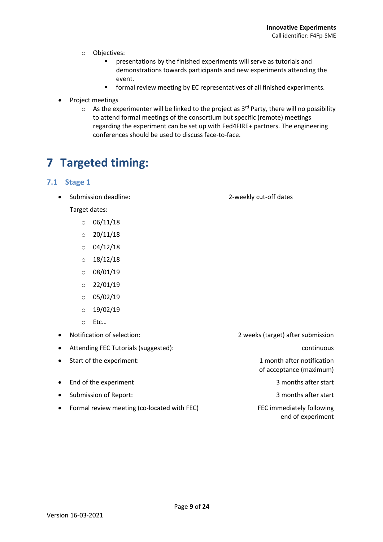- o Objectives:
	- § presentations by the finished experiments will serve as tutorials and demonstrations towards participants and new experiments attending the event.
	- formal review meeting by EC representatives of all finished experiments.
- Project meetings
	- $\circ$  As the experimenter will be linked to the project as 3<sup>rd</sup> Party, there will no possibility to attend formal meetings of the consortium but specific (remote) meetings regarding the experiment can be set up with Fed4FIRE+ partners. The engineering conferences should be used to discuss face-to-face.

## **7 Targeted timing:**

### **7.1 Stage 1**

• Submission deadline: 2-weekly cut-off dates

of acceptance (maximum)

end of experiment

Target dates:

- $O = 06/11/18$
- $O$  20/11/18
- $O = 04/12/18$
- $0$  18/12/18
- $\circ$  08/01/19
- $O$  22/01/19
- $O = 05/02/19$
- $0.19/02/19$
- o Etc…
- Notification of selection: 2 weeks (target) after submission
- Attending FEC Tutorials (suggested): example and the continuous continuous continuous
- Start of the experiment: 1 month after notification
- End of the experiment and  $\bullet$  3 months after start
- Submission of Report: 3 months after start
- Formal review meeting (co-located with FEC) FEC immediately following

Version 16-03-2021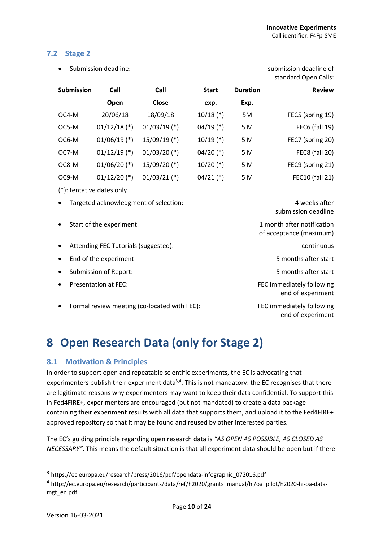#### **7.2 Stage 2**

• Submission deadline: submission deadline of

| <b>Submission</b>                                                                      | Call                                                                          | Call           | <b>Start</b> | <b>Duration</b> | <b>Review</b>          |  |
|----------------------------------------------------------------------------------------|-------------------------------------------------------------------------------|----------------|--------------|-----------------|------------------------|--|
|                                                                                        | Open                                                                          | <b>Close</b>   | exp.         | Exp.            |                        |  |
| OC4-M                                                                                  | 20/06/18                                                                      | 18/09/18       | $10/18$ (*)  | 5M              | FEC5 (spring 19)       |  |
| OC5-M                                                                                  | $01/12/18$ (*)                                                                | $01/03/19$ (*) | $04/19$ (*)  | 5 M             | <b>FEC6 (fall 19)</b>  |  |
| OC6-M                                                                                  | $01/06/19$ (*)                                                                | $15/09/19$ (*) | $10/19$ (*)  | 5 M             | FEC7 (spring 20)       |  |
| OC7-M                                                                                  | $01/12/19$ (*)                                                                | $01/03/20$ (*) | $04/20$ (*)  | 5 M             | FEC8 (fall 20)         |  |
| OC8-M                                                                                  | $01/06/20$ (*)                                                                | 15/09/20 (*)   | $10/20$ (*)  | 5 M             | FEC9 (spring 21)       |  |
| OC9-M                                                                                  | $01/12/20$ (*)                                                                | $01/03/21$ (*) | $04/21$ (*)  | 5 M             | <b>FEC10 (fall 21)</b> |  |
| $(*)$ : tentative dates only                                                           |                                                                               |                |              |                 |                        |  |
| $\bullet$                                                                              | Targeted acknowledgment of selection:<br>4 weeks after<br>submission deadline |                |              |                 |                        |  |
| 1 month after notification<br>Start of the experiment:<br>٠<br>of acceptance (maximum) |                                                                               |                |              |                 |                        |  |
| continuous<br>Attending FEC Tutorials (suggested):<br>$\bullet$                        |                                                                               |                |              |                 |                        |  |
| End of the experiment<br>$\bullet$                                                     |                                                                               |                |              |                 | 5 months after start   |  |
|                                                                                        |                                                                               |                |              |                 |                        |  |

• Submission of Report: 5 months after start

- 
- Formal review meeting (co-located with FEC): FEC immediately following

standard Open Calls:

• Presentation at FEC: FEC immediately following end of experiment

end of experiment

# **8 Open Research Data (only for Stage 2)**

### **8.1 Motivation & Principles**

In order to support open and repeatable scientific experiments, the EC is advocating that experimenters publish their experiment data<sup>3,4</sup>. This is not mandatory: the EC recognises that there are legitimate reasons why experimenters may want to keep their data confidential. To support this in Fed4FIRE+, experimenters are encouraged (but not mandated) to create a data package containing their experiment results with all data that supports them, and upload it to the Fed4FIRE+ approved repository so that it may be found and reused by other interested parties.

The EC's guiding principle regarding open research data is *"AS OPEN AS POSSIBLE, AS CLOSED AS NECESSARY"*. This means the default situation is that all experiment data should be open but if there

<sup>3</sup> https://ec.europa.eu/research/press/2016/pdf/opendata-infographic\_072016.pdf

<sup>4</sup> http://ec.europa.eu/research/participants/data/ref/h2020/grants\_manual/hi/oa\_pilot/h2020-hi-oa-datamgt\_en.pdf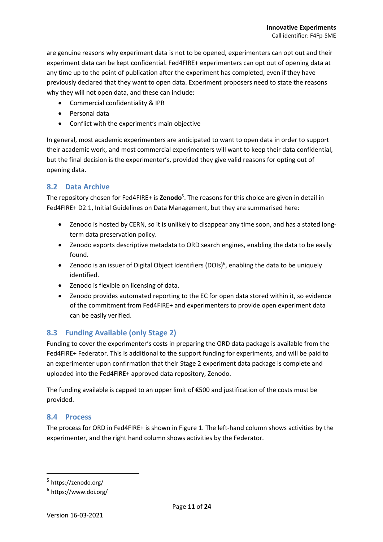are genuine reasons why experiment data is not to be opened, experimenters can opt out and their experiment data can be kept confidential. Fed4FIRE+ experimenters can opt out of opening data at any time up to the point of publication after the experiment has completed, even if they have previously declared that they want to open data. Experiment proposers need to state the reasons why they will not open data, and these can include:

- Commercial confidentiality & IPR
- Personal data
- Conflict with the experiment's main objective

In general, most academic experimenters are anticipated to want to open data in order to support their academic work, and most commercial experimenters will want to keep their data confidential, but the final decision is the experimenter's, provided they give valid reasons for opting out of opening data.

### **8.2 Data Archive**

The repository chosen for Fed4FIRE+ is **Zenodo**<sup>5</sup>. The reasons for this choice are given in detail in Fed4FIRE+ D2.1, Initial Guidelines on Data Management, but they are summarised here:

- Zenodo is hosted by CERN, so it is unlikely to disappear any time soon, and has a stated longterm data preservation policy.
- Zenodo exports descriptive metadata to ORD search engines, enabling the data to be easily found.
- Zenodo is an issuer of Digital Object Identifiers (DOIs)<sup>6</sup>, enabling the data to be uniquely identified.
- Zenodo is flexible on licensing of data.
- Zenodo provides automated reporting to the EC for open data stored within it, so evidence of the commitment from Fed4FIRE+ and experimenters to provide open experiment data can be easily verified.

### **8.3 Funding Available (only Stage 2)**

Funding to cover the experimenter's costs in preparing the ORD data package is available from the Fed4FIRE+ Federator. This is additional to the support funding for experiments, and will be paid to an experimenter upon confirmation that their Stage 2 experiment data package is complete and uploaded into the Fed4FIRE+ approved data repository, Zenodo.

The funding available is capped to an upper limit of €500 and justification of the costs must be provided.

### **8.4 Process**

The process for ORD in Fed4FIRE+ is shown in Figure 1. The left-hand column shows activities by the experimenter, and the right hand column shows activities by the Federator.

<sup>5</sup> https://zenodo.org/

 $6$  https://www.doi.org/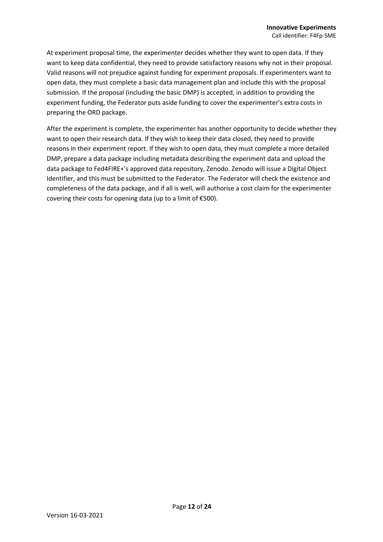At experiment proposal time, the experimenter decides whether they want to open data. If they want to keep data confidential, they need to provide satisfactory reasons why not in their proposal. Valid reasons will not prejudice against funding for experiment proposals. If experimenters want to open data, they must complete a basic data management plan and include this with the proposal submission. If the proposal (including the basic DMP) is accepted, in addition to providing the experiment funding, the Federator puts aside funding to cover the experimenter's extra costs in preparing the ORD package.

After the experiment is complete, the experimenter has another opportunity to decide whether they want to open their research data. If they wish to keep their data closed, they need to provide reasons in their experiment report. If they wish to open data, they must complete a more detailed DMP, prepare a data package including metadata describing the experiment data and upload the data package to Fed4FIRE+'s approved data repository, Zenodo. Zenodo will issue a Digital Object Identifier, and this must be submitted to the Federator. The Federator will check the existence and completeness of the data package, and if all is well, will authorise a cost claim for the experimenter covering their costs for opening data (up to a limit of €500).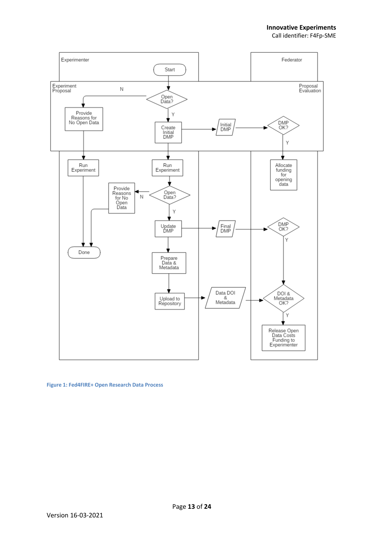

**Figure 1: Fed4FIRE+ Open Research Data Process**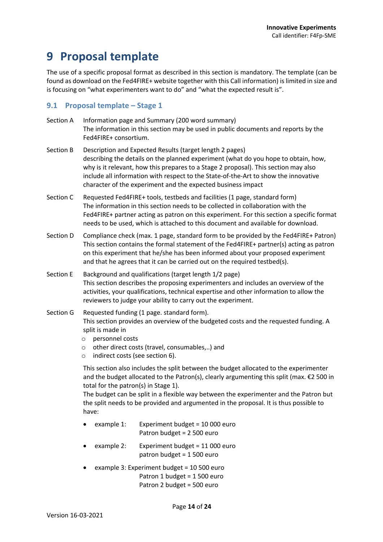### **9 Proposal template**

The use of a specific proposal format as described in this section is mandatory. The template (can be found as download on the Fed4FIRE+ website together with this Call information) is limited in size and is focusing on "what experimenters want to do" and "what the expected result is".

### **9.1 Proposal template – Stage 1**

- Section A Information page and Summary (200 word summary) The information in this section may be used in public documents and reports by the Fed4FIRE+ consortium.
- Section B Description and Expected Results (target length 2 pages) describing the details on the planned experiment (what do you hope to obtain, how, why is it relevant, how this prepares to a Stage 2 proposal). This section may also include all information with respect to the State-of-the-Art to show the innovative character of the experiment and the expected business impact
- Section C Requested Fed4FIRE+ tools, testbeds and facilities (1 page, standard form) The information in this section needs to be collected in collaboration with the Fed4FIRE+ partner acting as patron on this experiment. For this section a specific format needs to be used, which is attached to this document and available for download.
- Section D Compliance check (max. 1 page, standard form to be provided by the Fed4FIRE+ Patron) This section contains the formal statement of the Fed4FIRE+ partner(s) acting as patron on this experiment that he/she has been informed about your proposed experiment and that he agrees that it can be carried out on the required testbed(s).
- Section E Background and qualifications (target length 1/2 page) This section describes the proposing experimenters and includes an overview of the activities, your qualifications, technical expertise and other information to allow the reviewers to judge your ability to carry out the experiment.
- Section G Requested funding (1 page. standard form). This section provides an overview of the budgeted costs and the requested funding. A split is made in
	- o personnel costs
	- o other direct costs (travel, consumables,..) and
	- o indirect costs (see section 6).

This section also includes the split between the budget allocated to the experimenter and the budget allocated to the Patron(s), clearly argumenting this split (max. €2 500 in total for the patron(s) in Stage 1).

The budget can be split in a flexible way between the experimenter and the Patron but the split needs to be provided and argumented in the proposal. It is thus possible to have:

- example 1: Experiment budget = 10 000 euro Patron budget = 2 500 euro
- example 2: Experiment budget = 11 000 euro patron budget = 1 500 euro
- example 3: Experiment budget = 10 500 euro Patron 1 budget = 1 500 euro Patron 2 budget = 500 euro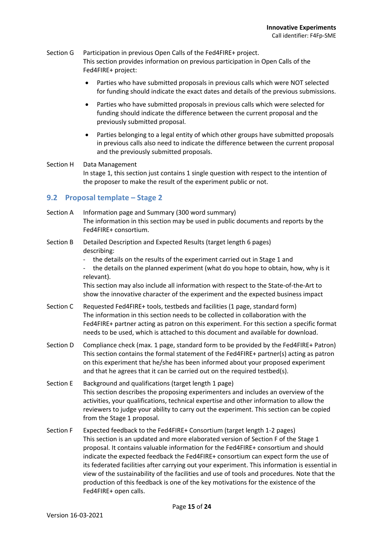#### Section G Participation in previous Open Calls of the Fed4FIRE+ project. This section provides information on previous participation in Open Calls of the Fed4FIRE+ project:

- Parties who have submitted proposals in previous calls which were NOT selected for funding should indicate the exact dates and details of the previous submissions.
- Parties who have submitted proposals in previous calls which were selected for funding should indicate the difference between the current proposal and the previously submitted proposal.
- Parties belonging to a legal entity of which other groups have submitted proposals in previous calls also need to indicate the difference between the current proposal and the previously submitted proposals.
- Section H Data Management In stage 1, this section just contains 1 single question with respect to the intention of the proposer to make the result of the experiment public or not.

### **9.2 Proposal template – Stage 2**

- Section A Information page and Summary (300 word summary) The information in this section may be used in public documents and reports by the Fed4FIRE+ consortium.
- Section B Detailed Description and Expected Results (target length 6 pages) describing:
	- the details on the results of the experiment carried out in Stage 1 and

- the details on the planned experiment (what do you hope to obtain, how, why is it relevant).

This section may also include all information with respect to the State-of-the-Art to show the innovative character of the experiment and the expected business impact

- Section C Requested Fed4FIRE+ tools, testbeds and facilities (1 page, standard form) The information in this section needs to be collected in collaboration with the Fed4FIRE+ partner acting as patron on this experiment. For this section a specific format needs to be used, which is attached to this document and available for download.
- Section D Compliance check (max. 1 page, standard form to be provided by the Fed4FIRE+ Patron) This section contains the formal statement of the Fed4FIRE+ partner(s) acting as patron on this experiment that he/she has been informed about your proposed experiment and that he agrees that it can be carried out on the required testbed(s).
- Section E Background and qualifications (target length 1 page) This section describes the proposing experimenters and includes an overview of the activities, your qualifications, technical expertise and other information to allow the reviewers to judge your ability to carry out the experiment. This section can be copied from the Stage 1 proposal.
- Section F Expected feedback to the Fed4FIRE+ Consortium (target length 1-2 pages) This section is an updated and more elaborated version of Section F of the Stage 1 proposal. It contains valuable information for the Fed4FIRE+ consortium and should indicate the expected feedback the Fed4FIRE+ consortium can expect form the use of its federated facilities after carrying out your experiment. This information is essential in view of the sustainability of the facilities and use of tools and procedures. Note that the production of this feedback is one of the key motivations for the existence of the Fed4FIRE+ open calls.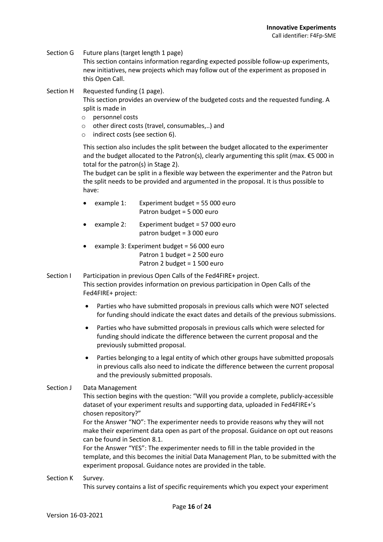- Section G Future plans (target length 1 page) This section contains information regarding expected possible follow-up experiments, new initiatives, new projects which may follow out of the experiment as proposed in this Open Call.
- Section H Requested funding (1 page). This section provides an overview of the budgeted costs and the requested funding. A split is made in
	- o personnel costs
	- o other direct costs (travel, consumables,..) and
	- o indirect costs (see section 6).

This section also includes the split between the budget allocated to the experimenter and the budget allocated to the Patron(s), clearly argumenting this split (max. €5 000 in total for the patron(s) in Stage 2).

The budget can be split in a flexible way between the experimenter and the Patron but the split needs to be provided and argumented in the proposal. It is thus possible to have:

- example 1: Experiment budget = 55 000 euro Patron budget = 5 000 euro
- example 2: Experiment budget = 57 000 euro patron budget = 3 000 euro
- example 3: Experiment budget = 56 000 euro Patron 1 budget = 2 500 euro Patron 2 budget = 1 500 euro
- Section I Participation in previous Open Calls of the Fed4FIRE+ project. This section provides information on previous participation in Open Calls of the Fed4FIRE+ project:
	- Parties who have submitted proposals in previous calls which were NOT selected for funding should indicate the exact dates and details of the previous submissions.
	- Parties who have submitted proposals in previous calls which were selected for funding should indicate the difference between the current proposal and the previously submitted proposal.
	- Parties belonging to a legal entity of which other groups have submitted proposals in previous calls also need to indicate the difference between the current proposal and the previously submitted proposals.

#### Section J Data Management

This section begins with the question: "Will you provide a complete, publicly-accessible dataset of your experiment results and supporting data, uploaded in Fed4FIRE+'s chosen repository?"

For the Answer "NO": The experimenter needs to provide reasons why they will not make their experiment data open as part of the proposal. Guidance on opt out reasons can be found in Section 8.1.

For the Answer "YES": The experimenter needs to fill in the table provided in the template, and this becomes the initial Data Management Plan, to be submitted with the experiment proposal. Guidance notes are provided in the table.

Section K Survey. This survey contains a list of specific requirements which you expect your experiment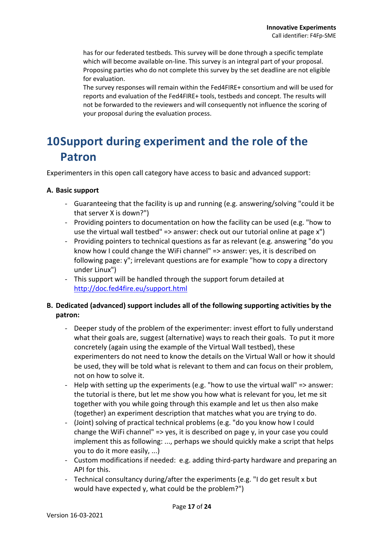has for our federated testbeds. This survey will be done through a specific template which will become available on-line. This survey is an integral part of your proposal. Proposing parties who do not complete this survey by the set deadline are not eligible for evaluation.

The survey responses will remain within the Fed4FIRE+ consortium and will be used for reports and evaluation of the Fed4FIRE+ tools, testbeds and concept. The results will not be forwarded to the reviewers and will consequently not influence the scoring of your proposal during the evaluation process.

# **10Support during experiment and the role of the Patron**

Experimenters in this open call category have access to basic and advanced support:

### **A. Basic support**

- Guaranteeing that the facility is up and running (e.g. answering/solving "could it be that server X is down?")
- Providing pointers to documentation on how the facility can be used (e.g. "how to use the virtual wall testbed" => answer: check out our tutorial online at page x")
- Providing pointers to technical questions as far as relevant (e.g. answering "do you know how I could change the WiFi channel" => answer: yes, it is described on following page: y"; irrelevant questions are for example "how to copy a directory under Linux")
- This support will be handled through the support forum detailed at http://doc.fed4fire.eu/support.html

### **B. Dedicated (advanced) support includes all of the following supporting activities by the patron:**

- Deeper study of the problem of the experimenter: invest effort to fully understand what their goals are, suggest (alternative) ways to reach their goals. To put it more concretely (again using the example of the Virtual Wall testbed), these experimenters do not need to know the details on the Virtual Wall or how it should be used, they will be told what is relevant to them and can focus on their problem, not on how to solve it.
- Help with setting up the experiments (e.g. "how to use the virtual wall" => answer: the tutorial is there, but let me show you how what is relevant for you, let me sit together with you while going through this example and let us then also make (together) an experiment description that matches what you are trying to do.
- (Joint) solving of practical technical problems (e.g. "do you know how I could change the WiFi channel" => yes, it is described on page y, in your case you could implement this as following: ..., perhaps we should quickly make a script that helps you to do it more easily, ...)
- Custom modifications if needed: e.g. adding third-party hardware and preparing an API for this.
- Technical consultancy during/after the experiments (e.g. "I do get result x but would have expected y, what could be the problem?")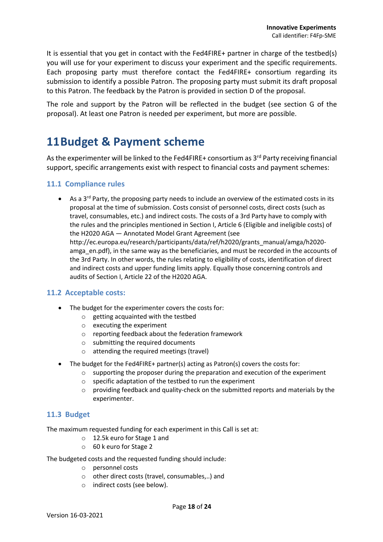It is essential that you get in contact with the Fed4FIRE+ partner in charge of the testbed(s) you will use for your experiment to discuss your experiment and the specific requirements. Each proposing party must therefore contact the Fed4FIRE+ consortium regarding its submission to identify a possible Patron. The proposing party must submit its draft proposal to this Patron. The feedback by the Patron is provided in section D of the proposal.

The role and support by the Patron will be reflected in the budget (see section G of the proposal). At least one Patron is needed per experiment, but more are possible.

# **11Budget & Payment scheme**

As the experimenter will be linked to the Fed4FIRE+ consortium as 3<sup>rd</sup> Party receiving financial support, specific arrangements exist with respect to financial costs and payment schemes:

### **11.1 Compliance rules**

• As a  $3^{rd}$  Party, the proposing party needs to include an overview of the estimated costs in its proposal at the time of submission. Costs consist of personnel costs, direct costs (such as travel, consumables, etc.) and indirect costs. The costs of a 3rd Party have to comply with the rules and the principles mentioned in Section I, Article 6 (Eligible and ineligible costs) of the H2020 AGA — Annotated Model Grant Agreement (see http://ec.europa.eu/research/participants/data/ref/h2020/grants\_manual/amga/h2020-

amga en.pdf), in the same way as the beneficiaries, and must be recorded in the accounts of the 3rd Party. In other words, the rules relating to eligibility of costs, identification of direct and indirect costs and upper funding limits apply. Equally those concerning controls and audits of Section I, Article 22 of the H2020 AGA.

### **11.2 Acceptable costs:**

- The budget for the experimenter covers the costs for:
	- o getting acquainted with the testbed
	- o executing the experiment
	- o reporting feedback about the federation framework
	- $\circ$  submitting the required documents
	- o attending the required meetings (travel)
- The budget for the Fed4FIRE+ partner(s) acting as Patron(s) covers the costs for:
	- $\circ$  supporting the proposer during the preparation and execution of the experiment
	- o specific adaptation of the testbed to run the experiment
	- $\circ$  providing feedback and quality-check on the submitted reports and materials by the experimenter.

### **11.3 Budget**

The maximum requested funding for each experiment in this Call is set at:

- o 12.5k euro for Stage 1 and
- o 60 k euro for Stage 2

The budgeted costs and the requested funding should include:

- o personnel costs
- o other direct costs (travel, consumables,..) and
- o indirect costs (see below).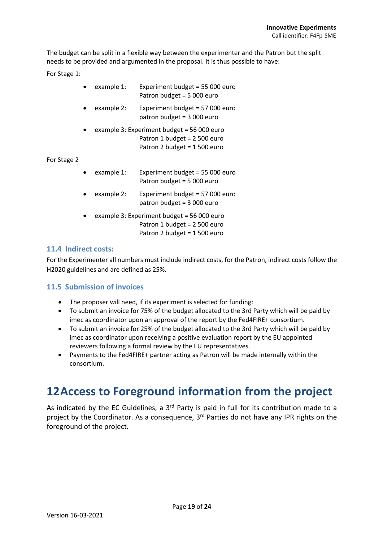The budget can be split in a flexible way between the experimenter and the Patron but the split needs to be provided and argumented in the proposal. It is thus possible to have:

For Stage 1:

|             | example 1:                                                                 | Experiment budget = 55 000 euro<br>Patron budget = 5 000 euro                                              |  |
|-------------|----------------------------------------------------------------------------|------------------------------------------------------------------------------------------------------------|--|
|             | example 2:                                                                 | Experiment budget = 57 000 euro<br>patron budget = 3 000 euro                                              |  |
|             |                                                                            | example 3: Experiment budget = 56 000 euro<br>Patron 1 budget = 2 500 euro<br>Patron 2 budget = 1 500 euro |  |
| For Stage 2 |                                                                            |                                                                                                            |  |
|             | example 1:                                                                 | Experiment budget = 55 000 euro<br>Patron budget = 5 000 euro                                              |  |
|             | example 2:                                                                 | Experiment budget = 57 000 euro<br>patron budget = 3 000 euro                                              |  |
|             | example 3: Experiment budget = 56 000 euro<br>Patron 1 budget = 2 500 euro |                                                                                                            |  |

### **11.4 Indirect costs:**

For the Experimenter all numbers must include indirect costs, for the Patron, indirect costs follow the H2020 guidelines and are defined as 25%.

Patron 2 budget = 1 500 euro

### **11.5 Submission of invoices**

- The proposer will need, if its experiment is selected for funding:
- To submit an invoice for 75% of the budget allocated to the 3rd Party which will be paid by imec as coordinator upon an approval of the report by the Fed4FIRE+ consortium.
- To submit an invoice for 25% of the budget allocated to the 3rd Party which will be paid by imec as coordinator upon receiving a positive evaluation report by the EU appointed reviewers following a formal review by the EU representatives.
- Payments to the Fed4FIRE+ partner acting as Patron will be made internally within the consortium.

### **12Access to Foreground information from the project**

As indicated by the EC Guidelines, a  $3<sup>rd</sup>$  Party is paid in full for its contribution made to a project by the Coordinator. As a consequence, 3<sup>rd</sup> Parties do not have any IPR rights on the foreground of the project.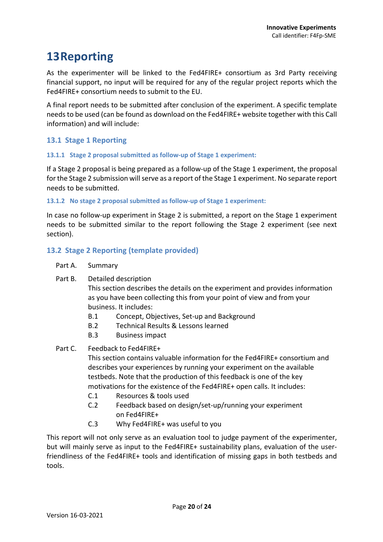# **13Reporting**

As the experimenter will be linked to the Fed4FIRE+ consortium as 3rd Party receiving financial support, no input will be required for any of the regular project reports which the Fed4FIRE+ consortium needs to submit to the EU.

A final report needs to be submitted after conclusion of the experiment. A specific template needs to be used (can be found as download on the Fed4FIRE+ website together with this Call information) and will include:

### **13.1 Stage 1 Reporting**

#### **13.1.1 Stage 2 proposal submitted as follow-up of Stage 1 experiment:**

If a Stage 2 proposal is being prepared as a follow-up of the Stage 1 experiment, the proposal for the Stage 2 submission will serve as a report of the Stage 1 experiment. No separate report needs to be submitted.

#### **13.1.2 No stage 2 proposal submitted as follow-up of Stage 1 experiment:**

In case no follow-up experiment in Stage 2 is submitted, a report on the Stage 1 experiment needs to be submitted similar to the report following the Stage 2 experiment (see next section).

### **13.2 Stage 2 Reporting (template provided)**

- Part A. Summary
- Part B. Detailed description

This section describes the details on the experiment and provides information as you have been collecting this from your point of view and from your business. It includes:

- B.1 Concept, Objectives, Set-up and Background
- B.2 Technical Results & Lessons learned
- B.3 Business impact
- Part C. Feedback to Fed4FIRE+

This section contains valuable information for the Fed4FIRE+ consortium and describes your experiences by running your experiment on the available testbeds. Note that the production of this feedback is one of the key motivations for the existence of the Fed4FIRE+ open calls. It includes:

- C.1 Resources & tools used
- C.2 Feedback based on design/set-up/running your experiment on Fed4FIRE+
- C.3 Why Fed4FIRE+ was useful to you

This report will not only serve as an evaluation tool to judge payment of the experimenter, but will mainly serve as input to the Fed4FIRE+ sustainability plans, evaluation of the userfriendliness of the Fed4FIRE+ tools and identification of missing gaps in both testbeds and tools.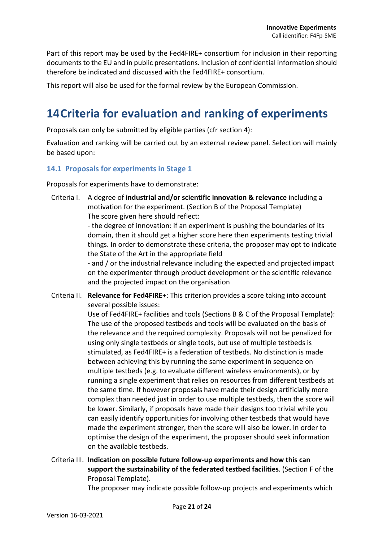Part of this report may be used by the Fed4FIRE+ consortium for inclusion in their reporting documents to the EU and in public presentations. Inclusion of confidential information should therefore be indicated and discussed with the Fed4FIRE+ consortium.

This report will also be used for the formal review by the European Commission.

# **14Criteria for evaluation and ranking of experiments**

Proposals can only be submitted by eligible parties (cfr section 4):

Evaluation and ranking will be carried out by an external review panel. Selection will mainly be based upon:

### **14.1 Proposals for experiments in Stage 1**

Proposals for experiments have to demonstrate:

Criteria I. A degree of **industrial and/or scientific innovation & relevance** including a motivation for the experiment. (Section B of the Proposal Template) The score given here should reflect:

> - the degree of innovation: if an experiment is pushing the boundaries of its domain, then it should get a higher score here then experiments testing trivial things. In order to demonstrate these criteria, the proposer may opt to indicate the State of the Art in the appropriate field

> - and / or the industrial relevance including the expected and projected impact on the experimenter through product development or the scientific relevance and the projected impact on the organisation

Criteria II. **Relevance for Fed4FIRE**+: This criterion provides a score taking into account several possible issues:

> Use of Fed4FIRE+ facilities and tools (Sections B & C of the Proposal Template): The use of the proposed testbeds and tools will be evaluated on the basis of the relevance and the required complexity. Proposals will not be penalized for using only single testbeds or single tools, but use of multiple testbeds is stimulated, as Fed4FIRE+ is a federation of testbeds. No distinction is made between achieving this by running the same experiment in sequence on multiple testbeds (e.g. to evaluate different wireless environments), or by running a single experiment that relies on resources from different testbeds at the same time. If however proposals have made their design artificially more complex than needed just in order to use multiple testbeds, then the score will be lower. Similarly, if proposals have made their designs too trivial while you can easily identify opportunities for involving other testbeds that would have made the experiment stronger, then the score will also be lower. In order to optimise the design of the experiment, the proposer should seek information on the available testbeds.

Criteria III. **Indication on possible future follow-up experiments and how this can support the sustainability of the federated testbed facilities**. (Section F of the Proposal Template).

The proposer may indicate possible follow-up projects and experiments which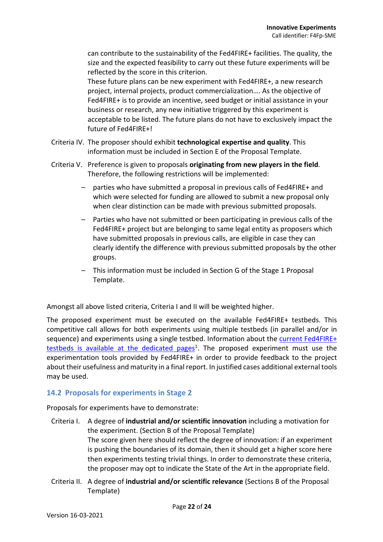can contribute to the sustainability of the Fed4FIRE+ facilities. The quality, the size and the expected feasibility to carry out these future experiments will be reflected by the score in this criterion.

These future plans can be new experiment with Fed4FIRE+, a new research project, internal projects, product commercialization…. As the objective of Fed4FIRE+ is to provide an incentive, seed budget or initial assistance in your business or research, any new initiative triggered by this experiment is acceptable to be listed. The future plans do not have to exclusively impact the future of Fed4FIRE+!

- Criteria IV. The proposer should exhibit **technological expertise and quality**. This information must be included in Section E of the Proposal Template.
- Criteria V. Preference is given to proposals **originating from new players in the field**. Therefore, the following restrictions will be implemented:
	- parties who have submitted a proposal in previous calls of Fed4FIRE+ and which were selected for funding are allowed to submit a new proposal only when clear distinction can be made with previous submitted proposals.
	- Parties who have not submitted or been participating in previous calls of the Fed4FIRE+ project but are belonging to same legal entity as proposers which have submitted proposals in previous calls, are eligible in case they can clearly identify the difference with previous submitted proposals by the other groups.
	- This information must be included in Section G of the Stage 1 Proposal Template.

Amongst all above listed criteria, Criteria I and II will be weighted higher.

The proposed experiment must be executed on the available Fed4FIRE+ testbeds. This competitive call allows for both experiments using multiple testbeds (in parallel and/or in sequence) and experiments using a single testbed. Information about the current Fed4FIRE+ testbeds is available at the dedicated pages<sup>1</sup>. The proposed experiment must use the experimentation tools provided by Fed4FIRE+ in order to provide feedback to the project about their usefulness and maturity in a final report. In justified cases additional external tools may be used.

### **14.2 Proposals for experiments in Stage 2**

Proposals for experiments have to demonstrate:

- Criteria I. A degree of **industrial and/or scientific innovation** including a motivation for the experiment. (Section B of the Proposal Template) The score given here should reflect the degree of innovation: if an experiment is pushing the boundaries of its domain, then it should get a higher score here then experiments testing trivial things. In order to demonstrate these criteria, the proposer may opt to indicate the State of the Art in the appropriate field.
- Criteria II. A degree of **industrial and/or scientific relevance** (Sections B of the Proposal Template)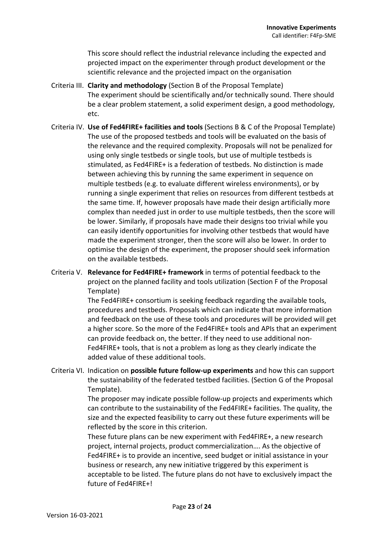This score should reflect the industrial relevance including the expected and projected impact on the experimenter through product development or the scientific relevance and the projected impact on the organisation

- Criteria III. **Clarity and methodology** (Section B of the Proposal Template) The experiment should be scientifically and/or technically sound. There should be a clear problem statement, a solid experiment design, a good methodology, etc.
- Criteria IV. **Use of Fed4FIRE+ facilities and tools** (Sections B & C of the Proposal Template) The use of the proposed testbeds and tools will be evaluated on the basis of the relevance and the required complexity. Proposals will not be penalized for using only single testbeds or single tools, but use of multiple testbeds is stimulated, as Fed4FIRE+ is a federation of testbeds. No distinction is made between achieving this by running the same experiment in sequence on multiple testbeds (e.g. to evaluate different wireless environments), or by running a single experiment that relies on resources from different testbeds at the same time. If, however proposals have made their design artificially more complex than needed just in order to use multiple testbeds, then the score will be lower. Similarly, if proposals have made their designs too trivial while you can easily identify opportunities for involving other testbeds that would have made the experiment stronger, then the score will also be lower. In order to optimise the design of the experiment, the proposer should seek information on the available testbeds.
- Criteria V. **Relevance for Fed4FIRE+ framework** in terms of potential feedback to the project on the planned facility and tools utilization (Section F of the Proposal Template)

The Fed4FIRE+ consortium is seeking feedback regarding the available tools, procedures and testbeds. Proposals which can indicate that more information and feedback on the use of these tools and procedures will be provided will get a higher score. So the more of the Fed4FIRE+ tools and APIs that an experiment can provide feedback on, the better. If they need to use additional non-Fed4FIRE+ tools, that is not a problem as long as they clearly indicate the added value of these additional tools.

Criteria VI. Indication on **possible future follow-up experiments** and how this can support the sustainability of the federated testbed facilities. (Section G of the Proposal Template).

> The proposer may indicate possible follow-up projects and experiments which can contribute to the sustainability of the Fed4FIRE+ facilities. The quality, the size and the expected feasibility to carry out these future experiments will be reflected by the score in this criterion.

> These future plans can be new experiment with Fed4FIRE+, a new research project, internal projects, product commercialization…. As the objective of Fed4FIRE+ is to provide an incentive, seed budget or initial assistance in your business or research, any new initiative triggered by this experiment is acceptable to be listed. The future plans do not have to exclusively impact the future of Fed4FIRE+!